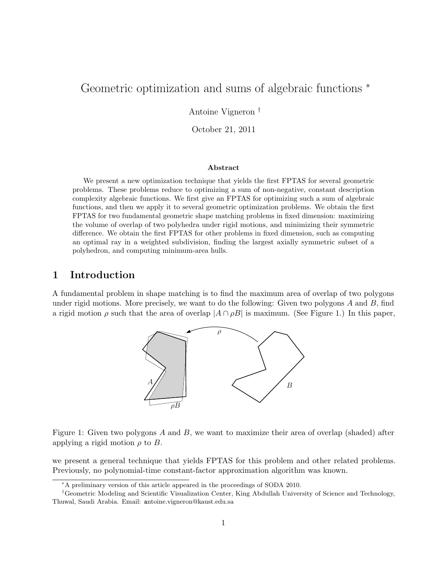# Geometric optimization and sums of algebraic functions  $*$

Antoine Vigneron †

October 21, 2011

#### Abstract

We present a new optimization technique that yields the first FPTAS for several geometric problems. These problems reduce to optimizing a sum of non-negative, constant description complexity algebraic functions. We first give an FPTAS for optimizing such a sum of algebraic functions, and then we apply it to several geometric optimization problems. We obtain the first FPTAS for two fundamental geometric shape matching problems in fixed dimension: maximizing the volume of overlap of two polyhedra under rigid motions, and minimizing their symmetric difference. We obtain the first FPTAS for other problems in fixed dimension, such as computing an optimal ray in a weighted subdivision, finding the largest axially symmetric subset of a polyhedron, and computing minimum-area hulls.

# 1 Introduction

A fundamental problem in shape matching is to find the maximum area of overlap of two polygons under rigid motions. More precisely, we want to do the following: Given two polygons  $A$  and  $B$ , find a rigid motion  $\rho$  such that the area of overlap  $|A \cap \rho B|$  is maximum. (See Figure 1.) In this paper,



Figure 1: Given two polygons  $A$  and  $B$ , we want to maximize their area of overlap (shaded) after applying a rigid motion  $\rho$  to B.

we present a general technique that yields FPTAS for this problem and other related problems. Previously, no polynomial-time constant-factor approximation algorithm was known.

<sup>∗</sup>A preliminary version of this article appeared in the proceedings of SODA 2010.

<sup>†</sup>Geometric Modeling and Scientific Visualization Center, King Abdullah University of Science and Technology, Thuwal, Saudi Arabia. Email: antoine.vigneron@kaust.edu.sa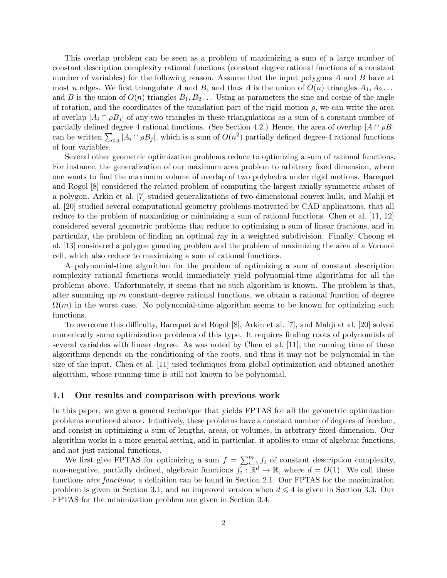This overlap problem can be seen as a problem of maximizing a sum of a large number of constant description complexity rational functions (constant degree rational functions of a constant number of variables) for the following reason. Assume that the input polygons A and B have at most n edges. We first triangulate A and B, and thus A is the union of  $O(n)$  triangles  $A_1, A_2, \ldots$ and B is the union of  $O(n)$  triangles  $B_1, B_2, \ldots$  Using as parameters the sine and cosine of the angle of rotation, and the coordinates of the translation part of the rigid motion  $\rho$ , we can write the area of overlap  $|A_i \cap \rho B_j|$  of any two triangles in these triangulations as a sum of a constant number of partially defined degree 4 rational functions. (See Section 4.2.) Hence, the area of overlap  $|A \cap \rho B|$ can be written  $\sum_{i,j} |A_i \cap \rho B_j|$ , which is a sum of  $O(n^2)$  partially defined degree-4 rational functions of four variables.

Several other geometric optimization problems reduce to optimizing a sum of rational functions. For instance, the generalization of our maximum area problem to arbitrary fixed dimension, where one wants to find the maximum volume of overlap of two polyhedra under rigid motions. Barequet and Rogol [8] considered the related problem of computing the largest axially symmetric subset of a polygon. Arkin et al. [7] studied generalizations of two-dimensional convex hulls, and Mahji et al. [20] studied several computational geometry problems motivated by CAD applications, that all reduce to the problem of maximizing or minimizing a sum of rational functions. Chen et al. [11, 12] considered several geometric problems that reduce to optimizing a sum of linear fractions, and in particular, the problem of finding an optimal ray in a weighted subdivision. Finally, Cheong et al. [13] considered a polygon guarding problem and the problem of maximizing the area of a Voronoi cell, which also reduce to maximizing a sum of rational functions.

A polynomial-time algorithm for the problem of optimizing a sum of constant description complexity rational functions would immediately yield polynomial-time algorithms for all the problems above. Unfortunately, it seems that no such algorithm is known. The problem is that, after summing up  $m$  constant-degree rational functions, we obtain a rational function of degree  $\Omega(m)$  in the worst case. No polynomial-time algorithm seems to be known for optimizing such functions.

To overcome this difficulty, Barequet and Rogol [8], Arkin et al. [7], and Mahji et al. [20] solved numerically some optimization problems of this type. It requires finding roots of polynomials of several variables with linear degree. As was noted by Chen et al. [11], the running time of these algorithms depends on the conditioning of the roots, and thus it may not be polynomial in the size of the input. Chen et al. [11] used techniques from global optimization and obtained another algorithm, whose running time is still not known to be polynomial.

#### 1.1 Our results and comparison with previous work

In this paper, we give a general technique that yields FPTAS for all the geometric optimization problems mentioned above. Intuitively, these problems have a constant number of degrees of freedom, and consist in optimizing a sum of lengths, areas, or volumes, in arbitrary fixed dimension. Our algorithm works in a more general setting, and in particular, it applies to sums of algebraic functions, and not just rational functions.

We first give FPTAS for optimizing a sum  $f = \sum_{i=1}^{m} f_i$  of constant description complexity, non-negative, partially defined, algebraic functions  $f_i : \mathbb{R}^d \to \mathbb{R}$ , where  $d = O(1)$ . We call these functions nice functions; a definition can be found in Section 2.1. Our FPTAS for the maximization problem is given in Section 3.1, and an improved version when  $d \leq 4$  is given in Section 3.3. Our FPTAS for the minimization problem are given in Section 3.4.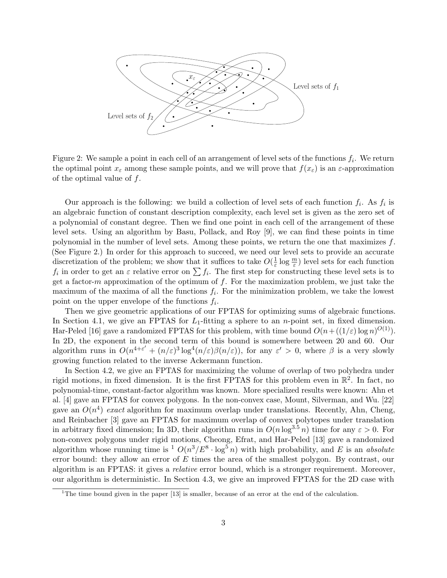

Figure 2: We sample a point in each cell of an arrangement of level sets of the functions  $f_i$ . We return the optimal point  $x_{\varepsilon}$  among these sample points, and we will prove that  $f(x_{\varepsilon})$  is an  $\varepsilon$ -approximation of the optimal value of f.

Our approach is the following: we build a collection of level sets of each function  $f_i$ . As  $f_i$  is an algebraic function of constant description complexity, each level set is given as the zero set of a polynomial of constant degree. Then we find one point in each cell of the arrangement of these level sets. Using an algorithm by Basu, Pollack, and Roy [9], we can find these points in time polynomial in the number of level sets. Among these points, we return the one that maximizes  $f$ . (See Figure 2.) In order for this approach to succeed, we need our level sets to provide an accurate discretization of the problem; we show that it suffices to take  $O(\frac{1}{\varepsilon})$  $\frac{1}{\varepsilon} \log \frac{m}{\varepsilon}$ ) level sets for each function  $f_i$  in order to get an  $\varepsilon$  relative error on  $\sum f_i$ . The first step for constructing these level sets is to get a factor-m approximation of the optimum of  $f$ . For the maximization problem, we just take the maximum of the maxima of all the functions  $f_i$ . For the minimization problem, we take the lowest point on the upper envelope of the functions  $f_i$ .

Then we give geometric applications of our FPTAS for optimizing sums of algebraic functions. In Section 4.1, we give an FPTAS for  $L_1$ -fitting a sphere to an *n*-point set, in fixed dimension. Har-Peled [16] gave a randomized FPTAS for this problem, with time bound  $O(n + ((1/\varepsilon) \log n)^{O(1)})$ . In 2D, the exponent in the second term of this bound is somewhere between 20 and 60. Our algorithm runs in  $O(n^{4+\varepsilon'} + (n/\varepsilon)^3 \log^4(n/\varepsilon)\beta(n/\varepsilon))$ , for any  $\varepsilon' > 0$ , where  $\beta$  is a very slowly growing function related to the inverse Ackermann function.

In Section 4.2, we give an FPTAS for maximizing the volume of overlap of two polyhedra under rigid motions, in fixed dimension. It is the first FPTAS for this problem even in  $\mathbb{R}^2$ . In fact, no polynomial-time, constant-factor algorithm was known. More specialized results were known: Ahn et al. [4] gave an FPTAS for convex polygons. In the non-convex case, Mount, Silverman, and Wu. [22] gave an  $O(n^4)$  exact algorithm for maximum overlap under translations. Recently, Ahn, Cheng, and Reinbacher [3] gave an FPTAS for maximum overlap of convex polytopes under translation in arbitrary fixed dimension; In 3D, their algorithm runs in  $O(n \log^{3.5} n)$  time for any  $\varepsilon > 0$ . For non-convex polygons under rigid motions, Cheong, Efrat, and Har-Peled [13] gave a randomized algorithm whose running time is  ${}^{1}$   $O(n^3/E^8 \cdot \log^5 n)$  with high probability, and E is an absolute error bound: they allow an error of  $E$  times the area of the smallest polygon. By contrast, our algorithm is an FPTAS: it gives a relative error bound, which is a stronger requirement. Moreover, our algorithm is deterministic. In Section 4.3, we give an improved FPTAS for the 2D case with

<sup>&</sup>lt;sup>1</sup>The time bound given in the paper  $[13]$  is smaller, because of an error at the end of the calculation.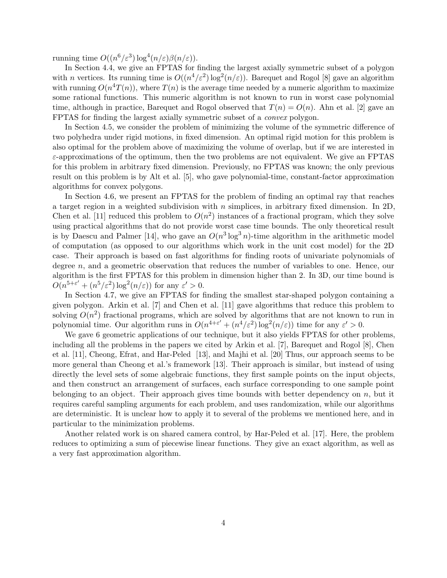running time  $O((n^6/\varepsilon^3) \log^4(n/\varepsilon)\beta(n/\varepsilon)).$ 

In Section 4.4, we give an FPTAS for finding the largest axially symmetric subset of a polygon with *n* vertices. Its running time is  $O((n^4/\varepsilon^2) \log^2(n/\varepsilon))$ . Barequet and Rogol [8] gave an algorithm with running  $O(n^4T(n))$ , where  $T(n)$  is the average time needed by a numeric algorithm to maximize some rational functions. This numeric algorithm is not known to run in worst case polynomial time, although in practice, Barequet and Rogol observed that  $T(n) = O(n)$ . Ahn et al. [2] gave an FPTAS for finding the largest axially symmetric subset of a convex polygon.

In Section 4.5, we consider the problem of minimizing the volume of the symmetric difference of two polyhedra under rigid motions, in fixed dimension. An optimal rigid motion for this problem is also optimal for the problem above of maximizing the volume of overlap, but if we are interested in  $\varepsilon$ -approximations of the optimum, then the two problems are not equivalent. We give an FPTAS for this problem in arbitrary fixed dimension. Previously, no FPTAS was known; the only previous result on this problem is by Alt et al. [5], who gave polynomial-time, constant-factor approximation algorithms for convex polygons.

In Section 4.6, we present an FPTAS for the problem of finding an optimal ray that reaches a target region in a weighted subdivision with  $n$  simplices, in arbitrary fixed dimension. In 2D, Chen et al. [11] reduced this problem to  $O(n^2)$  instances of a fractional program, which they solve using practical algorithms that do not provide worst case time bounds. The only theoretical result is by Daescu and Palmer [14], who gave an  $O(n^3 \log^3 n)$ -time algorithm in the arithmetic model of computation (as opposed to our algorithms which work in the unit cost model) for the 2D case. Their approach is based on fast algorithms for finding roots of univariate polynomials of degree n, and a geometric observation that reduces the number of variables to one. Hence, our algorithm is the first FPTAS for this problem in dimension higher than 2. In 3D, our time bound is  $O(n^{5+\varepsilon'} + (n^5/\varepsilon^2) \log^2(n/\varepsilon))$  for any  $\varepsilon' > 0$ .

In Section 4.7, we give an FPTAS for finding the smallest star-shaped polygon containing a given polygon. Arkin et al. [7] and Chen et al. [11] gave algorithms that reduce this problem to solving  $O(n^2)$  fractional programs, which are solved by algorithms that are not known to run in polynomial time. Our algorithm runs in  $O(n^{4+\varepsilon'} + (n^4/\varepsilon^2) \log^2(n/\varepsilon))$  time for any  $\varepsilon' > 0$ .

We gave 6 geometric applications of our technique, but it also yields FPTAS for other problems, including all the problems in the papers we cited by Arkin et al. [7], Barequet and Rogol [8], Chen et al. [11], Cheong, Efrat, and Har-Peled [13], and Majhi et al. [20] Thus, our approach seems to be more general than Cheong et al.'s framework [13]. Their approach is similar, but instead of using directly the level sets of some algebraic functions, they first sample points on the input objects, and then construct an arrangement of surfaces, each surface corresponding to one sample point belonging to an object. Their approach gives time bounds with better dependency on  $n$ , but it requires careful sampling arguments for each problem, and uses randomization, while our algorithms are deterministic. It is unclear how to apply it to several of the problems we mentioned here, and in particular to the minimization problems.

Another related work is on shared camera control, by Har-Peled et al. [17]. Here, the problem reduces to optimizing a sum of piecewise linear functions. They give an exact algorithm, as well as a very fast approximation algorithm.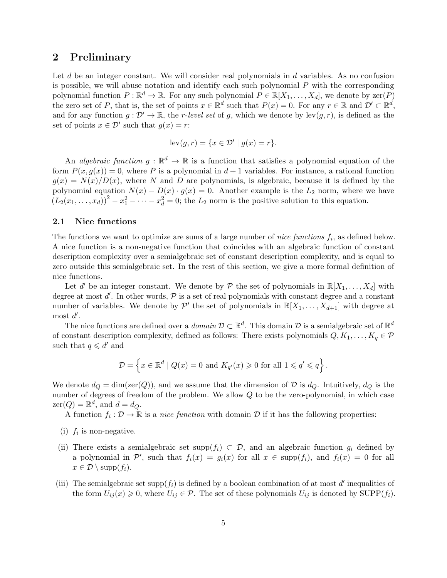### 2 Preliminary

Let  $d$  be an integer constant. We will consider real polynomials in  $d$  variables. As no confusion is possible, we will abuse notation and identify each such polynomial  $P$  with the corresponding polynomial function  $P : \mathbb{R}^d \to \mathbb{R}$ . For any such polynomial  $P \in \mathbb{R}[X_1, \ldots, X_d]$ , we denote by  $\text{zer}(P)$ the zero set of P, that is, the set of points  $x \in \mathbb{R}^d$  such that  $P(x) = 0$ . For any  $r \in \mathbb{R}$  and  $\mathcal{D}' \subset \mathbb{R}^d$ , and for any function  $g: \mathcal{D}' \to \mathbb{R}$ , the r-level set of g, which we denote by  $lev(g, r)$ , is defined as the set of points  $x \in \mathcal{D}'$  such that  $g(x) = r$ :

$$
lev(g,r) = \{x \in \mathcal{D}' \mid g(x) = r\}.
$$

An *algebraic function*  $g : \mathbb{R}^d \to \mathbb{R}$  is a function that satisfies a polynomial equation of the form  $P(x, g(x)) = 0$ , where P is a polynomial in  $d+1$  variables. For instance, a rational function  $g(x) = N(x)/D(x)$ , where N and D are polynomials, is algebraic, because it is defined by the polynomial equation  $N(x) - D(x) \cdot g(x) = 0$ . Another example is the  $L_2$  norm, where we have  $(L_2(x_1,...,x_d))^2 - x_1^2 - \cdots - x_d^2 = 0$ ; the  $L_2$  norm is the positive solution to this equation.

#### 2.1 Nice functions

The functions we want to optimize are sums of a large number of *nice functions*  $f_i$ , as defined below. A nice function is a non-negative function that coincides with an algebraic function of constant description complexity over a semialgebraic set of constant description complexity, and is equal to zero outside this semialgebraic set. In the rest of this section, we give a more formal definition of nice functions.

Let d' be an integer constant. We denote by  $P$  the set of polynomials in  $\mathbb{R}[X_1,\ldots,X_d]$  with degree at most  $d'$ . In other words,  $P$  is a set of real polynomials with constant degree and a constant number of variables. We denote by  $\mathcal{P}'$  the set of polynomials in  $\mathbb{R}[X_1,\ldots,X_{d+1}]$  with degree at most  $d'$ .

The nice functions are defined over a *domain*  $D \subset \mathbb{R}^d$ . This domain D is a semialgebraic set of  $\mathbb{R}^d$ of constant description complexity, defined as follows: There exists polynomials  $Q, K_1, \ldots, K_q \in \mathcal{P}$ such that  $q \leq d'$  and

$$
\mathcal{D} = \left\{ x \in \mathbb{R}^d \mid Q(x) = 0 \text{ and } K_{q'}(x) \geqslant 0 \text{ for all } 1 \leqslant q' \leqslant q \right\}.
$$

We denote  $d_Q = \dim(\text{zer}(Q))$ , and we assume that the dimension of D is  $d_Q$ . Intuitively,  $d_Q$  is the number of degrees of freedom of the problem. We allow Q to be the zero-polynomial, in which case  $\text{zer}(Q) = \mathbb{R}^d$ , and  $d = d_Q$ .

A function  $f_i : \mathcal{D} \to \mathbb{R}$  is a *nice function* with domain  $\mathcal{D}$  if it has the following properties:

- (i)  $f_i$  is non-negative.
- (ii) There exists a semialgebraic set supp $(f_i) \subset \mathcal{D}$ , and an algebraic function  $g_i$  defined by a polynomial in  $\mathcal{P}'$ , such that  $f_i(x) = g_i(x)$  for all  $x \in \text{supp}(f_i)$ , and  $f_i(x) = 0$  for all  $x \in \mathcal{D} \setminus \mathrm{supp}(f_i)$ .
- (iii) The semialgebraic set supp $(f_i)$  is defined by a boolean combination of at most d' inequalities of the form  $U_{ij}(x) \geq 0$ , where  $U_{ij} \in \mathcal{P}$ . The set of these polynomials  $U_{ij}$  is denoted by SUPP( $f_i$ ).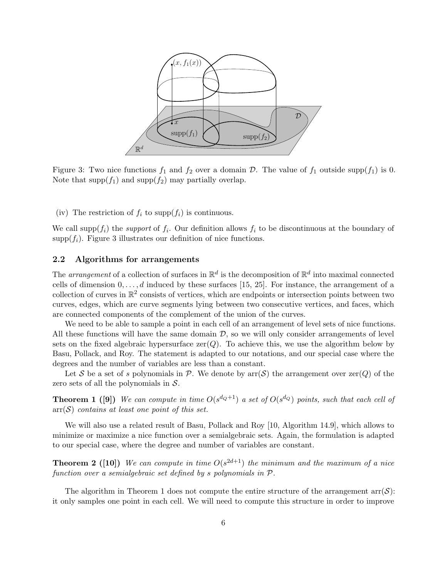

Figure 3: Two nice functions  $f_1$  and  $f_2$  over a domain D. The value of  $f_1$  outside supp( $f_1$ ) is 0. Note that  $\text{supp}(f_1)$  and  $\text{supp}(f_2)$  may partially overlap.

(iv) The restriction of  $f_i$  to supp $(f_i)$  is continuous.

We call supp $(f_i)$  the *support* of  $f_i$ . Our definition allows  $f_i$  to be discontinuous at the boundary of supp $(f_i)$ . Figure 3 illustrates our definition of nice functions.

#### 2.2 Algorithms for arrangements

The arrangement of a collection of surfaces in  $\mathbb{R}^d$  is the decomposition of  $\mathbb{R}^d$  into maximal connected cells of dimension  $0, \ldots, d$  induced by these surfaces [15, 25]. For instance, the arrangement of a collection of curves in  $\mathbb{R}^2$  consists of vertices, which are endpoints or intersection points between two curves, edges, which are curve segments lying between two consecutive vertices, and faces, which are connected components of the complement of the union of the curves.

We need to be able to sample a point in each cell of an arrangement of level sets of nice functions. All these functions will have the same domain  $D$ , so we will only consider arrangements of level sets on the fixed algebraic hypersurface  $zer(Q)$ . To achieve this, we use the algorithm below by Basu, Pollack, and Roy. The statement is adapted to our notations, and our special case where the degrees and the number of variables are less than a constant.

Let S be a set of s polynomials in P. We denote by  $\text{arr}(\mathcal{S})$  the arrangement over  $\text{zer}(Q)$  of the zero sets of all the polynomials in  $S$ .

**Theorem 1** ([9]) We can compute in time  $O(s^{d_Q+1})$  a set of  $O(s^{d_Q})$  points, such that each cell of  $\text{arr}(\mathcal{S})$  contains at least one point of this set.

We will also use a related result of Basu, Pollack and Roy [10, Algorithm 14.9], which allows to minimize or maximize a nice function over a semialgebraic sets. Again, the formulation is adapted to our special case, where the degree and number of variables are constant.

**Theorem 2** ([10]) We can compute in time  $O(s^{2d+1})$  the minimum and the maximum of a nice function over a semialgebraic set defined by s polynomials in P.

The algorithm in Theorem 1 does not compute the entire structure of the arrangement  $\text{arr}(\mathcal{S})$ : it only samples one point in each cell. We will need to compute this structure in order to improve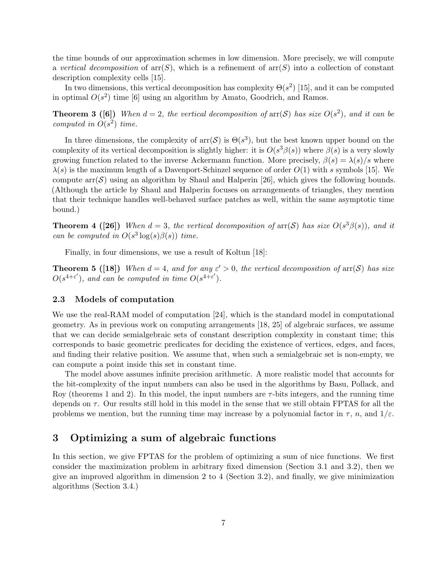the time bounds of our approximation schemes in low dimension. More precisely, we will compute a vertical decomposition of  $\ar(S)$ , which is a refinement of  $\ar(S)$  into a collection of constant description complexity cells [15].

In two dimensions, this vertical decomposition has complexity  $\Theta(s^2)$  [15], and it can be computed in optimal  $O(s^2)$  time [6] using an algorithm by Amato, Goodrich, and Ramos.

**Theorem 3 ([6])** When  $d = 2$ , the vertical decomposition of  $\text{arr}(\mathcal{S})$  has size  $O(s^2)$ , and it can be computed in  $O(s^2)$  time.

In three dimensions, the complexity of  $\text{arr}(\mathcal{S})$  is  $\Theta(s^3)$ , but the best known upper bound on the complexity of its vertical decomposition is slightly higher: it is  $O(s^3\beta(s))$  where  $\beta(s)$  is a very slowly growing function related to the inverse Ackermann function. More precisely,  $\beta(s) = \lambda(s)/s$  where  $\lambda(s)$  is the maximum length of a Davenport-Schinzel sequence of order  $O(1)$  with s symbols [15]. We compute  $\arcsin(\mathcal{S})$  using an algorithm by Shaul and Halperin [26], which gives the following bounds. (Although the article by Shaul and Halperin focuses on arrangements of triangles, they mention that their technique handles well-behaved surface patches as well, within the same asymptotic time bound.)

**Theorem 4 ([26])** When  $d = 3$ , the vertical decomposition of  $\text{arr}(\mathcal{S})$  has size  $O(s^3\beta(s))$ , and it can be computed in  $O(s^3 \log(s) \beta(s))$  time.

Finally, in four dimensions, we use a result of Koltun [18]:

**Theorem 5** ([18]) When  $d = 4$ , and for any  $\varepsilon' > 0$ , the vertical decomposition of  $\ar(S)$  has size  $O(s^{4+\varepsilon'}),$  and can be computed in time  $O(s^{4+\varepsilon'}).$ 

#### 2.3 Models of computation

We use the real-RAM model of computation [24], which is the standard model in computational geometry. As in previous work on computing arrangements [18, 25] of algebraic surfaces, we assume that we can decide semialgebraic sets of constant description complexity in constant time; this corresponds to basic geometric predicates for deciding the existence of vertices, edges, and faces, and finding their relative position. We assume that, when such a semialgebraic set is non-empty, we can compute a point inside this set in constant time.

The model above assumes infinite precision arithmetic. A more realistic model that accounts for the bit-complexity of the input numbers can also be used in the algorithms by Basu, Pollack, and Roy (theorems 1 and 2). In this model, the input numbers are  $\tau$ -bits integers, and the running time depends on  $\tau$ . Our results still hold in this model in the sense that we still obtain FPTAS for all the problems we mention, but the running time may increase by a polynomial factor in  $\tau$ , n, and  $1/\varepsilon$ .

# 3 Optimizing a sum of algebraic functions

In this section, we give FPTAS for the problem of optimizing a sum of nice functions. We first consider the maximization problem in arbitrary fixed dimension (Section 3.1 and 3.2), then we give an improved algorithm in dimension 2 to 4 (Section 3.2), and finally, we give minimization algorithms (Section 3.4.)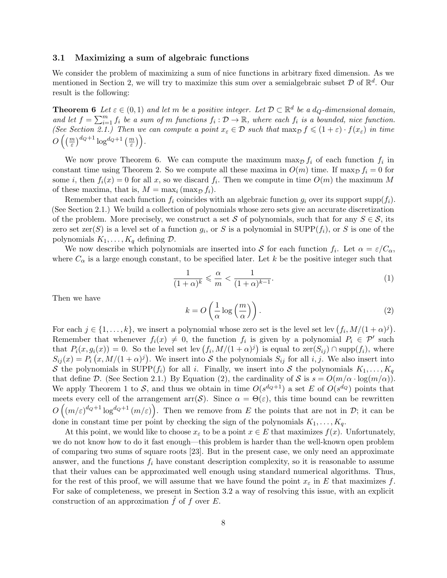#### 3.1 Maximizing a sum of algebraic functions

We consider the problem of maximizing a sum of nice functions in arbitrary fixed dimension. As we mentioned in Section 2, we will try to maximize this sum over a semialgebraic subset  $D$  of  $\mathbb{R}^d$ . Our result is the following:

**Theorem 6** Let  $\varepsilon \in (0,1)$  and let m be a positive integer. Let  $\mathcal{D} \subset \mathbb{R}^d$  be a  $d_Q$ -dimensional domain, and let  $f = \sum_{i=1}^m f_i$  be a sum of m functions  $f_i : \mathcal{D} \to \mathbb{R}$ , where each  $f_i$  is a bounded, nice function. (See Section 2.1.) Then we can compute a point  $x_{\varepsilon} \in \mathcal{D}$  such that  $\max_{\mathcal{D}} f \leqslant (1+\varepsilon) \cdot f(x_{\varepsilon})$  in time  $O\left(\left(\frac{m}{\varepsilon}\right)^{d_{Q}+1}\log^{d_{Q}+1}\left(\frac{m}{\varepsilon}\right)\right)$ .

We now prove Theorem 6. We can compute the maximum  $\max_{\mathcal{D}} f_i$  of each function  $f_i$  in constant time using Theorem 2. So we compute all these maxima in  $O(m)$  time. If max $D f_i = 0$  for some *i*, then  $f_i(x) = 0$  for all x, so we discard  $f_i$ . Then we compute in time  $O(m)$  the maximum M of these maxima, that is,  $M = \max_i (\max_{D} f_i)$ .

Remember that each function  $f_i$  coincides with an algebraic function  $g_i$  over its support supp $(f_i)$ . (See Section 2.1.) We build a collection of polynomials whose zero sets give an accurate discretization of the problem. More precisely, we construct a set S of polynomials, such that for any  $S \in \mathcal{S}$ , its zero set zer(S) is a level set of a function  $g_i$ , or S is a polynomial in SUPP( $f_i$ ), or S is one of the polynomials  $K_1, \ldots, K_q$  defining  $\mathcal{D}$ .

We now describe which polynomials are inserted into S for each function  $f_i$ . Let  $\alpha = \varepsilon/C_\alpha$ , where  $C_{\alpha}$  is a large enough constant, to be specified later. Let k be the positive integer such that

$$
\frac{1}{(1+\alpha)^k} \leqslant \frac{\alpha}{m} < \frac{1}{(1+\alpha)^{k-1}}.\tag{1}
$$

Then we have

$$
k = O\left(\frac{1}{\alpha}\log\left(\frac{m}{\alpha}\right)\right). \tag{2}
$$

For each  $j \in \{1, ..., k\}$ , we insert a polynomial whose zero set is the level set lev  $(f_i, M/(1+\alpha)^j)$ . Remember that whenever  $f_i(x) \neq 0$ , the function  $f_i$  is given by a polynomial  $P_i \in \mathcal{P}'$  such that  $P_i(x, g_i(x)) = 0$ . So the level set lev  $(f_i, M/(1+\alpha)^j)$  is equal to  $\text{zer}(S_{ij}) \cap \text{supp}(f_i)$ , where  $S_{ij}(x) = P_i(x, M/(1+\alpha)^j)$ . We insert into S the polynomials  $S_{ij}$  for all i, j. We also insert into S the polynomials in SUPP $(f_i)$  for all i. Finally, we insert into S the polynomials  $K_1, \ldots, K_q$ that define D. (See Section 2.1.) By Equation (2), the cardinality of S is  $s = O(m/\alpha \cdot \log(m/\alpha))$ . We apply Theorem 1 to S, and thus we obtain in time  $O(s^{d_Q+1})$  a set E of  $O(s^{d_Q})$  points that meets every cell of the arrangement arr $(S)$ . Since  $\alpha = \Theta(\varepsilon)$ , this time bound can be rewritten  $O((m/\varepsilon)^{d_Q+1}\log^{d_Q+1}(m/\varepsilon))$ . Then we remove from E the points that are not in D; it can be done in constant time per point by checking the sign of the polynomials  $K_1, \ldots, K_q$ .

At this point, we would like to choose  $x_{\varepsilon}$  to be a point  $x \in E$  that maximizes  $f(x)$ . Unfortunately, we do not know how to do it fast enough—this problem is harder than the well-known open problem of comparing two sums of square roots [23]. But in the present case, we only need an approximate answer, and the functions  $f_i$  have constant description complexity, so it is reasonable to assume that their values can be approximated well enough using standard numerical algorithms. Thus, for the rest of this proof, we will assume that we have found the point  $x_{\varepsilon}$  in E that maximizes f. For sake of completeness, we present in Section 3.2 a way of resolving this issue, with an explicit construction of an approximation  $\hat{f}$  of f over  $E$ .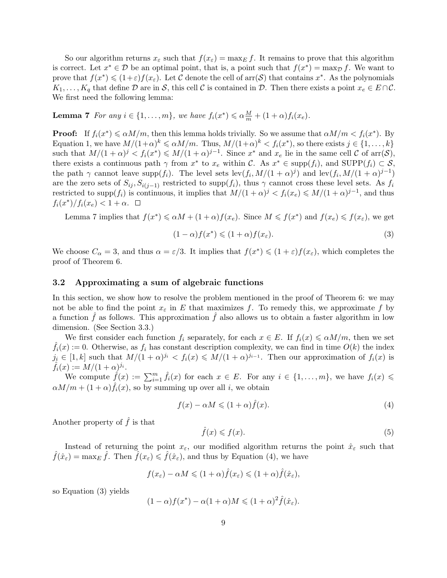So our algorithm returns  $x_{\varepsilon}$  such that  $f(x_{\varepsilon}) = \max_E f$ . It remains to prove that this algorithm is correct. Let  $x^* \in \mathcal{D}$  be an optimal point, that is, a point such that  $f(x^*) = \max_{\mathcal{D}} f$ . We want to prove that  $f(x^*) \leq (1+\varepsilon)f(x_{\varepsilon})$ . Let C denote the cell of  $arr(\mathcal{S})$  that contains  $x^*$ . As the polynomials  $K_1, \ldots, K_q$  that define  $\mathcal D$  are in  $\mathcal S$ , this cell  $\mathcal C$  is contained in  $\mathcal D$ . Then there exists a point  $x_e \in E \cap \mathcal C$ . We first need the following lemma:

**Lemma 7** For any  $i \in \{1, ..., m\}$ , we have  $f_i(x^*) \leq \alpha \frac{M}{m} + (1 + \alpha) f_i(x_e)$ .

**Proof:** If  $f_i(x^*) \le \alpha M/m$ , then this lemma holds trivially. So we assume that  $\alpha M/m < f_i(x^*)$ . By Equation 1, we have  $M/(1+\alpha)^k \leq \alpha M/m$ . Thus,  $M/(1+\alpha)^k < f_i(x^*)$ , so there exists  $j \in \{1, \ldots, k\}$ such that  $M/(1+\alpha)^j < f_i(x^*) \le M/(1+\alpha)^{j-1}$ . Since  $x^*$  and  $x_e$  lie in the same cell  $\mathcal C$  of  $\text{arr}(\mathcal S)$ , there exists a continuous path  $\gamma$  from  $x^*$  to  $x_e$  within C. As  $x^* \in \text{supp}(f_i)$ , and  $\text{SUPP}(f_i) \subset \mathcal{S}$ , the path  $\gamma$  cannot leave supp $(f_i)$ . The level sets lev $(f_i, M/(1+\alpha)^j)$  and lev $(f_i, M/(1+\alpha)^{j-1})$ are the zero sets of  $S_{ij}$ ,  $S_{i(j-1)}$  restricted to supp $(f_i)$ , thus  $\gamma$  cannot cross these level sets. As  $f_i$ restricted to supp $(f_i)$  is continuous, it implies that  $M/(1+\alpha)^j < f_i(x_e) \leq M/(1+\alpha)^{j-1}$ , and thus  $f_i(x^*)/f_i(x_e) < 1 + \alpha.$ 

Lemma 7 implies that  $f(x^*) \le \alpha M + (1 + \alpha) f(x_e)$ . Since  $M \le f(x^*)$  and  $f(x_e) \le f(x_{\varepsilon})$ , we get

$$
(1 - \alpha)f(x^*) \leq (1 + \alpha)f(x_{\varepsilon}).
$$
\n(3)

We choose  $C_{\alpha} = 3$ , and thus  $\alpha = \varepsilon/3$ . It implies that  $f(x^*) \leq (1 + \varepsilon)f(x_{\varepsilon})$ , which completes the proof of Theorem 6.

#### 3.2 Approximating a sum of algebraic functions

In this section, we show how to resolve the problem mentioned in the proof of Theorem 6: we may not be able to find the point  $x_{\varepsilon}$  in E that maximizes f. To remedy this, we approximate f by a function  $f$  as follows. This approximation  $f$  also allows us to obtain a faster algorithm in low dimension. (See Section 3.3.)

We first consider each function  $f_i$  separately, for each  $x \in E$ . If  $f_i(x) \leq \alpha M/m$ , then we set  $f_i(x) := 0$ . Otherwise, as  $f_i$  has constant description complexity, we can find in time  $O(k)$  the index  $j_i \in [1, k]$  such that  $M/(1+\alpha)^{j_i} < f_i(x) \leq M/(1+\alpha)^{j_{i-1}}$ . Then our approximation of  $f_i(x)$  is  $\hat{f}_i(x) := M/(1+\alpha)^{j_i}.$ 

We compute  $\hat{f}(x) := \sum_{i=1}^m \hat{f}_i(x)$  for each  $x \in E$ . For any  $i \in \{1, \ldots, m\}$ , we have  $f_i(x) \leq$  $\alpha M/m + (1 + \alpha) \hat{f}_i(x)$ , so by summing up over all *i*, we obtain

$$
f(x) - \alpha M \leqslant (1 + \alpha)\hat{f}(x). \tag{4}
$$

Another property of  $\hat{f}$  is that

$$
\hat{f}(x) \leqslant f(x). \tag{5}
$$

Instead of returning the point  $x_{\varepsilon}$ , our modified algorithm returns the point  $\hat{x}_{\varepsilon}$  such that  $\hat{f}(\hat{x}_{\varepsilon}) = \max_E \hat{f}$ . Then  $\hat{f}(x_{\varepsilon}) \leq \hat{f}(\hat{x}_{\varepsilon})$ , and thus by Equation (4), we have

$$
f(x_{\varepsilon}) - \alpha M \leq (1 + \alpha) \hat{f}(x_{\varepsilon}) \leq (1 + \alpha) \hat{f}(\hat{x}_{\varepsilon}),
$$

so Equation (3) yields

$$
(1 - \alpha)f(x^*) - \alpha(1 + \alpha)M \leq (1 + \alpha)^2 \hat{f}(\hat{x}_\varepsilon).
$$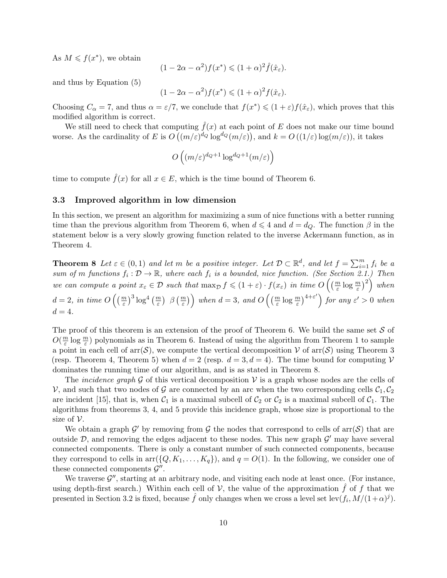As  $M \leqslant f(x^*)$ , we obtain

$$
(1 - 2\alpha - \alpha^2) f(x^*) \leq (1 + \alpha)^2 \hat{f}(\hat{x}_\varepsilon).
$$

and thus by Equation (5)

$$
(1 - 2\alpha - \alpha^2) f(x^*) \leq (1 + \alpha)^2 f(\hat{x}_\varepsilon).
$$

Choosing  $C_{\alpha} = 7$ , and thus  $\alpha = \varepsilon/7$ , we conclude that  $f(x^*) \leq (1 + \varepsilon)f(\hat{x}_{\varepsilon})$ , which proves that this modified algorithm is correct.

We still need to check that computing  $\hat{f}(x)$  at each point of E does not make our time bound worse. As the cardinality of E is  $O((m/\varepsilon)^{d_Q} \log^{d_Q}(m/\varepsilon))$ , and  $k = O((1/\varepsilon) \log(m/\varepsilon))$ , it takes

$$
O\left((m/\varepsilon)^{d_Q+1}\log^{d_Q+1}(m/\varepsilon)\right)
$$

time to compute  $\hat{f}(x)$  for all  $x \in E$ , which is the time bound of Theorem 6.

#### 3.3 Improved algorithm in low dimension

In this section, we present an algorithm for maximizing a sum of nice functions with a better running time than the previous algorithm from Theorem 6, when  $d \leq 4$  and  $d = dQ$ . The function  $\beta$  in the statement below is a very slowly growing function related to the inverse Ackermann function, as in Theorem 4.

**Theorem 8** Let  $\varepsilon \in (0,1)$  and let m be a positive integer. Let  $\mathcal{D} \subset \mathbb{R}^d$ , and let  $f = \sum_{i=1}^m f_i$  be a sum of m functions  $f_i: \mathcal{D} \to \mathbb{R}$ , where each  $f_i$  is a bounded, nice function. (See Section 2.1.) Then we can compute a point  $x_{\varepsilon} \in \mathcal{D}$  such that  $\max_{\mathcal{D}} f \leqslant (1+\varepsilon) \cdot f(x_{\varepsilon})$  in time  $O\left(\left(\frac{m}{\varepsilon} \log \frac{m}{\varepsilon}\right)^2\right)$  when  $d = 2$ , in time  $O\left(\left(\frac{m}{\varepsilon}\right)^3 \log^4\left(\frac{m}{\varepsilon}\right) \right.$   $\beta\left(\frac{m}{\varepsilon}\right)\right)$  when  $d = 3$ , and  $O\left(\left(\frac{m}{\varepsilon} \log \frac{m}{\varepsilon}\right)^{4+\varepsilon'}\right)$  for any  $\varepsilon' > 0$  when  $d=4.$ 

The proof of this theorem is an extension of the proof of Theorem 6. We build the same set  $S$  of  $O(\frac{m}{\varepsilon})$  $\frac{n}{\varepsilon}$  log  $\frac{m}{\varepsilon}$ ) polynomials as in Theorem 6. Instead of using the algorithm from Theorem 1 to sample a point in each cell of  $\arr(\mathcal{S})$ , we compute the vertical decomposition V of  $\arr(\mathcal{S})$  using Theorem 3 (resp. Theorem 4, Theorem 5) when  $d = 2$  (resp.  $d = 3, d = 4$ ). The time bound for computing V dominates the running time of our algorithm, and is as stated in Theorem 8.

The *incidence graph* G of this vertical decomposition V is a graph whose nodes are the cells of V, and such that two nodes of G are connected by an arc when the two corresponding cells  $C_1, C_2$ are incident [15], that is, when  $C_1$  is a maximal subcell of  $C_2$  or  $C_2$  is a maximal subcell of  $C_1$ . The algorithms from theorems 3, 4, and 5 provide this incidence graph, whose size is proportional to the size of  $\mathcal V$ .

We obtain a graph  $\mathcal{G}'$  by removing from  $\mathcal G$  the nodes that correspond to cells of  $\mathrm{arr}(\mathcal{S})$  that are outside  $D$ , and removing the edges adjacent to these nodes. This new graph  $\mathcal{G}'$  may have several connected components. There is only a constant number of such connected components, because they correspond to cells in  $\arf{a}$  ( $\{Q, K_1, \ldots, K_q\}$ ), and  $q = O(1)$ . In the following, we consider one of these connected components  $\mathcal{G}''$ .

We traverse  $\mathcal{G}''$ , starting at an arbitrary node, and visiting each node at least once. (For instance, using depth-first search.) Within each cell of  $\mathcal V$ , the value of the approximation  $\hat f$  of f that we presented in Section 3.2 is fixed, because  $\hat{f}$  only changes when we cross a level set  $lev(f_i, M/(1+\alpha)^j)$ .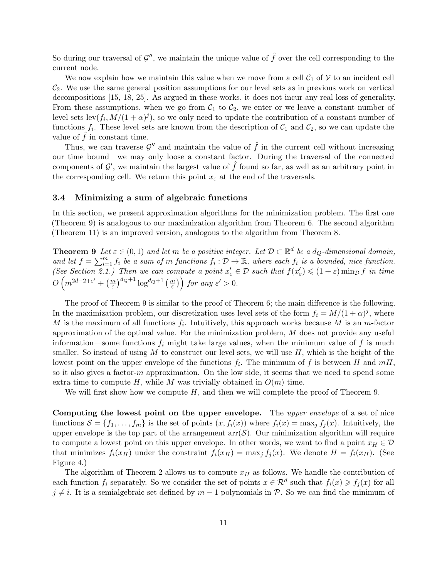So during our traversal of  $\mathcal{G}''$ , we maintain the unique value of  $\hat{f}$  over the cell corresponding to the current node.

We now explain how we maintain this value when we move from a cell  $C_1$  of V to an incident cell  $C_2$ . We use the same general position assumptions for our level sets as in previous work on vertical decompositions [15, 18, 25]. As argued in these works, it does not incur any real loss of generality. From these assumptions, when we go from  $C_1$  to  $C_2$ , we enter or we leave a constant number of level sets  $\text{lev}(f_i, M/(1+\alpha)^j)$ , so we only need to update the contribution of a constant number of functions  $f_i$ . These level sets are known from the description of  $C_1$  and  $C_2$ , so we can update the value of  $f$  in constant time.

Thus, we can traverse  $\mathcal{G}''$  and maintain the value of  $\hat{f}$  in the current cell without increasing our time bound—we may only loose a constant factor. During the traversal of the connected components of  $\mathcal{G}'$ , we maintain the largest value of  $\hat{f}$  found so far, as well as an arbitrary point in the corresponding cell. We return this point  $x_{\varepsilon}$  at the end of the traversals.

#### 3.4 Minimizing a sum of algebraic functions

In this section, we present approximation algorithms for the minimization problem. The first one (Theorem 9) is analogous to our maximization algorithm from Theorem 6. The second algorithm (Theorem 11) is an improved version, analogous to the algorithm from Theorem 8.

**Theorem 9** Let  $\varepsilon \in (0,1)$  and let m be a positive integer. Let  $\mathcal{D} \subset \mathbb{R}^d$  be a  $d_Q$ -dimensional domain, and let  $f = \sum_{i=1}^m f_i$  be a sum of m functions  $f_i : \mathcal{D} \to \mathbb{R}$ , where each  $f_i$  is a bounded, nice function. (See Section 2.1.) Then we can compute a point  $x'_{\varepsilon} \in \mathcal{D}$  such that  $f(x'_{\varepsilon}) \leq (1+\varepsilon) \min_{\mathcal{D}} f$  in time  $O\left(m^{2d-2+\varepsilon'}+\left(\frac{m}{\varepsilon}\right)^{d_{Q}+1}\log^{d_{Q}+1}\left(\frac{m}{\varepsilon}\right)\right)$  for any  $\varepsilon' > 0$ .

The proof of Theorem 9 is similar to the proof of Theorem 6; the main difference is the following. In the maximization problem, our discretization uses level sets of the form  $f_i = M/(1 + \alpha)^j$ , where M is the maximum of all functions  $f_i$ . Intuitively, this approach works because M is an m-factor approximation of the optimal value. For the minimization problem,  $M$  does not provide any useful information—some functions  $f_i$  might take large values, when the minimum value of f is much smaller. So instead of using  $M$  to construct our level sets, we will use  $H$ , which is the height of the lowest point on the upper envelope of the functions  $f_i$ . The minimum of f is between H and  $mH$ , so it also gives a factor- $m$  approximation. On the low side, it seems that we need to spend some extra time to compute H, while M was trivially obtained in  $O(m)$  time.

We will first show how we compute  $H$ , and then we will complete the proof of Theorem 9.

Computing the lowest point on the upper envelope. The upper envelope of a set of nice functions  $\mathcal{S} = \{f_1, \ldots, f_m\}$  is the set of points  $(x, f_i(x))$  where  $f_i(x) = \max_j f_j(x)$ . Intuitively, the upper envelope is the top part of the arrangement  $\text{arr}(\mathcal{S})$ . Our minimization algorithm will require to compute a lowest point on this upper envelope. In other words, we want to find a point  $x_H \in \mathcal{D}$ that minimizes  $f_i(x_H)$  under the constraint  $f_i(x_H) = \max_j f_j(x)$ . We denote  $H = f_i(x_H)$ . (See Figure 4.)

The algorithm of Theorem 2 allows us to compute  $x_H$  as follows. We handle the contribution of each function  $f_i$  separately. So we consider the set of points  $x \in \mathcal{R}^d$  such that  $f_i(x) \geq f_j(x)$  for all  $j \neq i$ . It is a semialgebraic set defined by  $m - 1$  polynomials in P. So we can find the minimum of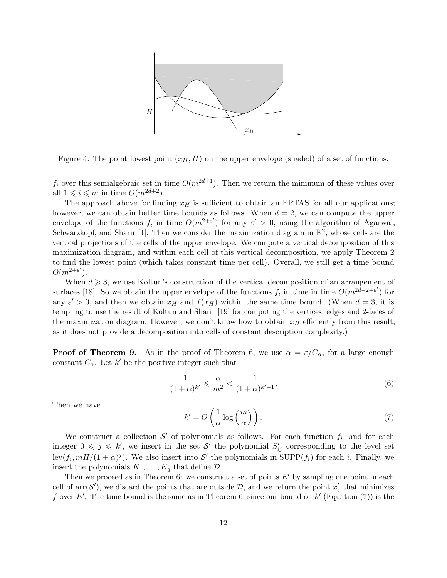

Figure 4: The point lowest point  $(x_H, H)$  on the upper envelope (shaded) of a set of functions.

 $f_i$  over this semialgebraic set in time  $O(m^{2d+1})$ . Then we return the minimum of these values over all  $1 \leq i \leq m$  in time  $O(m^{2d+2})$ .

The approach above for finding  $x_H$  is sufficient to obtain an FPTAS for all our applications; however, we can obtain better time bounds as follows. When  $d = 2$ , we can compute the upper envelope of the functions  $f_i$  in time  $O(m^{2+\varepsilon'})$  for any  $\varepsilon' > 0$ , using the algorithm of Agarwal, Schwarzkopf, and Sharir [1]. Then we consider the maximization diagram in  $\mathbb{R}^2$ , whose cells are the vertical projections of the cells of the upper envelope. We compute a vertical decomposition of this maximization diagram, and within each cell of this vertical decomposition, we apply Theorem 2 to find the lowest point (which takes constant time per cell). Overall, we still get a time bound  $O(m^{2+\varepsilon^{\prime}}).$ 

When  $d \geqslant 3$ , we use Koltun's construction of the vertical decomposition of an arrangement of surfaces [18]. So we obtain the upper envelope of the functions  $f_i$  in time in time  $O(m^{2d-2+\varepsilon'})$  for any  $\varepsilon' > 0$ , and then we obtain  $x_H$  and  $f(x_H)$  within the same time bound. (When  $d = 3$ , it is tempting to use the result of Koltun and Sharir [19] for computing the vertices, edges and 2-faces of the maximization diagram. However, we don't know how to obtain  $x_H$  efficiently from this result, as it does not provide a decomposition into cells of constant description complexity.)

**Proof of Theorem 9.** As in the proof of Theorem 6, we use  $\alpha = \varepsilon/C_{\alpha}$ , for a large enough constant  $C_{\alpha}$ . Let k' be the positive integer such that

$$
\frac{1}{(1+\alpha)^{k'}} \leqslant \frac{\alpha}{m^2} < \frac{1}{(1+\alpha)^{k'-1}}.\tag{6}
$$

Then we have

$$
k' = O\left(\frac{1}{\alpha}\log\left(\frac{m}{\alpha}\right)\right). \tag{7}
$$

We construct a collection  $\mathcal{S}'$  of polynomials as follows. For each function  $f_i$ , and for each integer  $0 \leqslant j \leqslant k'$ , we insert in the set S' the polynomial  $S'_{ij}$  corresponding to the level set  $\text{lev}(f_i, mH/(1+\alpha)^j)$ . We also insert into  $\mathcal{S}'$  the polynomials in SUPP $(f_i)$  for each i. Finally, we insert the polynomials  $K_1, \ldots, K_q$  that define  $\mathcal{D}$ .

Then we proceed as in Theorem 6: we construct a set of points  $E'$  by sampling one point in each cell of  $\text{arr}(\mathcal{S}')$ , we discard the points that are outside  $\mathcal{D}$ , and we return the point  $x'_{\varepsilon}$  that minimizes f over E'. The time bound is the same as in Theorem 6, since our bound on  $k'$  (Equation (7)) is the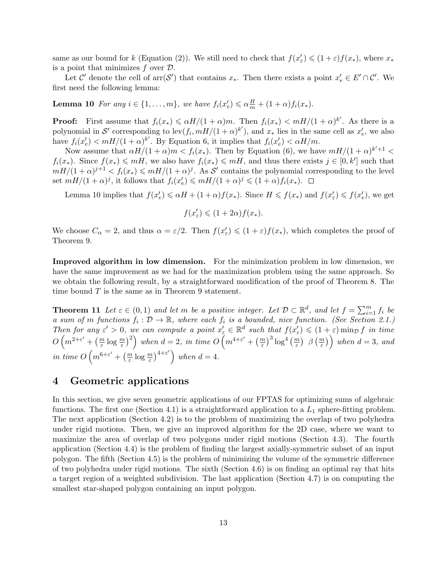same as our bound for k (Equation (2)). We still need to check that  $f(x'_{\varepsilon}) \leq (1+\varepsilon)f(x_*)$ , where  $x_*$ is a point that minimizes  $f$  over  $\mathcal{D}$ .

Let C' denote the cell of  $\text{arr}(\mathcal{S}')$  that contains  $x_*$ . Then there exists a point  $x'_e \in E' \cap C'$ . We first need the following lemma:

**Lemma 10** For any  $i \in \{1, ..., m\}$ , we have  $f_i(x'_e) \leq \alpha \frac{H}{m} + (1 + \alpha) f_i(x_*)$ .

**Proof:** First assume that  $f_i(x_*) \le \alpha H/(1+\alpha)m$ . Then  $f_i(x_*) < mH/(1+\alpha)^{k'}$ . As there is a polynomial in S' corresponding to  $\text{lev}(f_i, mH/(1+\alpha)^{k'})$ , and  $x_*$  lies in the same cell as  $x'_e$ , we also have  $f_i(x'_e) < mH/(1+\alpha)^{k'}$ . By Equation 6, it implies that  $f_i(x'_e) < \alpha H/m$ .

Now assume that  $\alpha H/(1+\alpha)m < f_i(x_*)$ . Then by Equation (6), we have  $mH/(1+\alpha)^{k'+1}$  $f_i(x_*)$ . Since  $f(x_*) \leq mH$ , we also have  $f_i(x_*) \leq mH$ , and thus there exists  $j \in [0, k']$  such that  $mH/(1+\alpha)^{j+1} < f_i(x_*) \leq mH/(1+\alpha)^j$ . As S' contains the polynomial corresponding to the level set  $mH/(1+\alpha)^j$ , it follows that  $f_i(x'_e) \leq mH/(1+\alpha)^j \leq (1+\alpha)f_i(x_*)$ .

Lemma 10 implies that  $f(x'_e) \leq \alpha H + (1+\alpha)f(x_*)$ . Since  $H \leq f(x_*)$  and  $f(x'_\varepsilon) \leq f(x'_e)$ , we get

$$
f(x'_{\varepsilon}) \leqslant (1 + 2\alpha) f(x_*)
$$

We choose  $C_{\alpha} = 2$ , and thus  $\alpha = \varepsilon/2$ . Then  $f(x_{\varepsilon}') \leq (1 + \varepsilon)f(x_*)$ , which completes the proof of Theorem 9.

Improved algorithm in low dimension. For the minimization problem in low dimension, we have the same improvement as we had for the maximization problem using the same approach. So we obtain the following result, by a straightforward modification of the proof of Theorem 8. The time bound  $T$  is the same as in Theorem 9 statement.

**Theorem 11** Let  $\varepsilon \in (0,1)$  and let m be a positive integer. Let  $\mathcal{D} \subset \mathbb{R}^d$ , and let  $f = \sum_{i=1}^m f_i$  be a sum of m functions  $f_i : \mathcal{D} \to \mathbb{R}$ , where each  $f_i$  is a bounded, nice function. (See Section 2.1.) Then for any  $\varepsilon' > 0$ , we can compute a point  $x'_{\varepsilon} \in \mathbb{R}^d$  such that  $f(x'_{\varepsilon}) \leq (1 + \varepsilon) \min_{D} f$  in time  $O\left(m^{2+\varepsilon'} + \left(\frac{m}{\varepsilon}\log\frac{m}{\varepsilon}\right)^2\right)$  when  $d=2, \text{ in time } O\left(m^{4+\varepsilon'} + \left(\frac{m}{\varepsilon}\right)^3\log^4\left(\frac{m}{\varepsilon}\right) \right.$   $\beta\left(\frac{m}{\varepsilon}\right)\right)$  when  $d=3, \text{ and}$ in time  $O\left(m^{6+\varepsilon'} + \left(\frac{m}{\varepsilon} \log \frac{m}{\varepsilon}\right)^{4+\varepsilon'}\right)$  when  $d=4$ .

### 4 Geometric applications

In this section, we give seven geometric applications of our FPTAS for optimizing sums of algebraic functions. The first one (Section 4.1) is a straightforward application to a  $L_1$  sphere-fitting problem. The next application (Section 4.2) is to the problem of maximizing the overlap of two polyhedra under rigid motions. Then, we give an improved algorithm for the 2D case, where we want to maximize the area of overlap of two polygons under rigid motions (Section 4.3). The fourth application (Section 4.4) is the problem of finding the largest axially-symmetric subset of an input polygon. The fifth (Section 4.5) is the problem of minimizing the volume of the symmetric difference of two polyhedra under rigid motions. The sixth (Section 4.6) is on finding an optimal ray that hits a target region of a weighted subdivision. The last application (Section 4.7) is on computing the smallest star-shaped polygon containing an input polygon.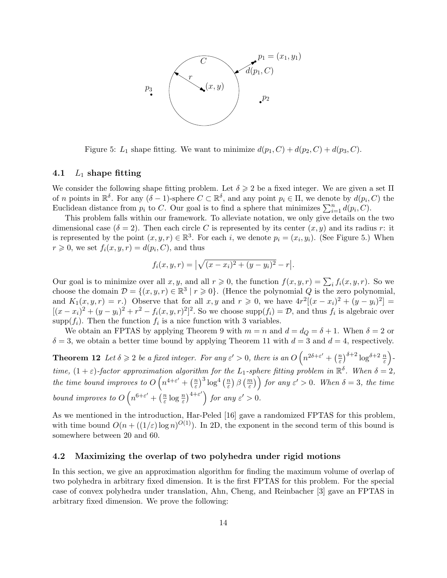

Figure 5:  $L_1$  shape fitting. We want to minimize  $d(p_1, C) + d(p_2, C) + d(p_3, C)$ .

#### 4.1  $L_1$  shape fitting

We consider the following shape fitting problem. Let  $\delta \geq 2$  be a fixed integer. We are given a set  $\Pi$ of n points in  $\mathbb{R}^{\delta}$ . For any  $(\delta - 1)$ -sphere  $C \subset \mathbb{R}^{\delta}$ , and any point  $p_i \in \Pi$ , we denote by  $d(p_i, C)$  the Euclidean distance from  $p_i$  to C. Our goal is to find a sphere that minimizes  $\sum_{i=1}^n d(p_i, C)$ .

This problem falls within our framework. To alleviate notation, we only give details on the two dimensional case ( $\delta = 2$ ). Then each circle C is represented by its center  $(x, y)$  and its radius r: it is represented by the point  $(x, y, r) \in \mathbb{R}^3$ . For each i, we denote  $p_i = (x_i, y_i)$ . (See Figure 5.) When  $r \geq 0$ , we set  $f_i(x, y, r) = d(p_i, C)$ , and thus

$$
f_i(x, y, r) = \left| \sqrt{(x - x_i)^2 + (y - y_i)^2} - r \right|.
$$

Our goal is to minimize over all  $x, y$ , and all  $r \geqslant 0$ , the function  $f(x, y, r) = \sum_i f_i(x, y, r)$ . So we choose the domain  $\mathcal{D} = \{(x, y, r) \in \mathbb{R}^3 \mid r \geq 0\}$ . (Hence the polynomial Q is the zero polynomial, and  $K_1(x, y, r) = r$ .) Observe that for all  $x, y$  and  $r \ge 0$ , we have  $4r^2[(x-x_i)^2 + (y-y_i)^2] =$  $[(x-x_i)^2 + (y-y_i)^2 + r^2 - f_i(x, y, r)^2]^2$ . So we choose supp $(f_i) = \mathcal{D}$ , and thus  $f_i$  is algebraic over supp $(f_i)$ . Then the function  $f_i$  is a nice function with 3 variables.

We obtain an FPTAS by applying Theorem 9 with  $m = n$  and  $d = d_Q = \delta + 1$ . When  $\delta = 2$  or  $\delta = 3$ , we obtain a better time bound by applying Theorem 11 with  $d = 3$  and  $d = 4$ , respectively.

**Theorem 12** Let  $\delta \geqslant 2$  be a fixed integer. For any  $\varepsilon' > 0$ , there is an  $O\left(n^{2\delta + \varepsilon'} + \left(\frac{n}{\varepsilon}\right)\right)$  $\frac{n}{\varepsilon}$ )<sup>δ+2</sup> log<sup>δ+2</sup>  $\frac{n}{\varepsilon}$ )time,  $(1 + \varepsilon)$ -factor approximation algorithm for the L<sub>1</sub>-sphere fitting problem in  $\mathbb{R}^{\delta}$ . When  $\delta = 2$ , the time bound improves to  $O(n^{4+\varepsilon'} + \left(\frac{n}{\varepsilon}\right))$  $\left(\frac{n}{\varepsilon}\right)^3 \log^4\left(\frac{n}{\varepsilon}\right)$  $\left(\frac{m}{\varepsilon}\right)\beta\left(\frac{m}{\varepsilon}\right)$  for any  $\varepsilon' > 0$ . When  $\delta = 3$ , the time bound improves to  $O(n^{6+\varepsilon'} + (\frac{n}{\varepsilon}))$  $\frac{n}{\varepsilon}\log\frac{n}{\varepsilon}\big)^{4+\varepsilon'}\Big\}$  for any  $\varepsilon' > 0$ .

As we mentioned in the introduction, Har-Peled [16] gave a randomized FPTAS for this problem, with time bound  $O(n + ((1/\varepsilon) \log n)^{O(1)})$ . In 2D, the exponent in the second term of this bound is somewhere between 20 and 60.

#### 4.2 Maximizing the overlap of two polyhedra under rigid motions

In this section, we give an approximation algorithm for finding the maximum volume of overlap of two polyhedra in arbitrary fixed dimension. It is the first FPTAS for this problem. For the special case of convex polyhedra under translation, Ahn, Cheng, and Reinbacher [3] gave an FPTAS in arbitrary fixed dimension. We prove the following: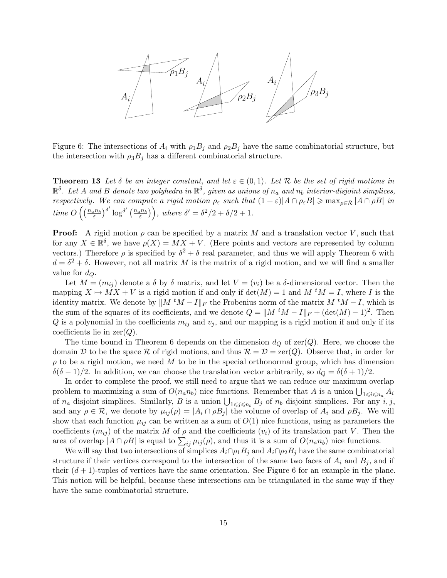

Figure 6: The intersections of  $A_i$  with  $\rho_1 B_j$  and  $\rho_2 B_j$  have the same combinatorial structure, but the intersection with  $\rho_3B_j$  has a different combinatorial structure.

**Theorem 13** Let  $\delta$  be an integer constant, and let  $\varepsilon \in (0,1)$ . Let  $\mathcal{R}$  be the set of rigid motions in  $\mathbb{R}^\delta$ . Let A and B denote two polyhedra in  $\mathbb{R}^\delta$ , given as unions of  $n_a$  and  $n_b$  interior-disjoint simplices, respectively. We can compute a rigid motion  $\rho_{\varepsilon}$  such that  $(1+\varepsilon)|A \cap \rho_{\varepsilon}B| \ge \max_{\rho \in \mathcal{R}} |A \cap \rho B|$  in time  $O\left(\left(\frac{n_a n_b}{\varepsilon}\right)^{\delta'} \log^{\delta'}\left(\frac{n_a n_b}{\varepsilon}\right)\right)$ , where  $\delta' = \delta^2/2 + \delta/2 + 1$ .

**Proof:** A rigid motion  $\rho$  can be specified by a matrix M and a translation vector V, such that for any  $X \in \mathbb{R}^{\delta}$ , we have  $\rho(X) = MX +V$ . (Here points and vectors are represented by column vectors.) Therefore  $\rho$  is specified by  $\delta^2 + \delta$  real parameter, and thus we will apply Theorem 6 with  $d = \delta^2 + \delta$ . However, not all matrix M is the matrix of a rigid motion, and we will find a smaller value for  $d_{Q}$ .

Let  $M = (m_{ij})$  denote a  $\delta$  by  $\delta$  matrix, and let  $V = (v_i)$  be a  $\delta$ -dimensional vector. Then the mapping  $X \mapsto MX + V$  is a rigid motion if and only if  $\det(M) = 1$  and  $M^tM = I$ , where I is the identity matrix. We denote by  $||M^tM - I||_F$  the Frobenius norm of the matrix  $M^tM - I$ , which is the sum of the squares of its coefficients, and we denote  $Q = ||M^tM - I||_F + (\det(M) - 1)^2$ . Then Q is a polynomial in the coefficients  $m_{ij}$  and  $v_j$ , and our mapping is a rigid motion if and only if its coefficients lie in  $zer(Q)$ .

The time bound in Theorem 6 depends on the dimension  $d_Q$  of  $\text{zer}(Q)$ . Here, we choose the domain D to be the space R of rigid motions, and thus  $\mathcal{R} = \mathcal{D} = \text{zer}(Q)$ . Observe that, in order for  $\rho$  to be a rigid motion, we need M to be in the special orthonormal group, which has dimension  $\delta(\delta - 1)/2$ . In addition, we can choose the translation vector arbitrarily, so  $d_Q = \delta(\delta + 1)/2$ .

In order to complete the proof, we still need to argue that we can reduce our maximum overlap problem to maximizing a sum of  $O(n_a n_b)$  nice functions. Remember that A is a union  $\bigcup_{1 \leq i \leq n_a} A_i$ of  $n_a$  disjoint simplices. Similarly, B is a union  $\bigcup_{1\leq j\leq n_b} B_j$  of  $n_b$  disjoint simplices. For any  $i, j$ , and any  $\rho \in \mathcal{R}$ , we denote by  $\mu_{ij}(\rho) = |A_i \cap \rho B_j|$  the volume of overlap of  $A_i$  and  $\rho B_j$ . We will show that each function  $\mu_{ij}$  can be written as a sum of  $O(1)$  nice functions, using as parameters the coefficients  $(m_{ij})$  of the matrix M of  $\rho$  and the coefficients  $(v_i)$  of its translation part V. Then the area of overlap  $|A \cap \rho B|$  is equal to  $\sum_{ij} \mu_{ij}(\rho)$ , and thus it is a sum of  $O(n_a n_b)$  nice functions.

We will say that two intersections of simplices  $A_i \cap \rho_1 B_j$  and  $A_i \cap \rho_2 B_j$  have the same combinatorial structure if their vertices correspond to the intersection of the same two faces of  $A_i$  and  $B_j$ , and if their  $(d+1)$ -tuples of vertices have the same orientation. See Figure 6 for an example in the plane. This notion will be helpful, because these intersections can be triangulated in the same way if they have the same combinatorial structure.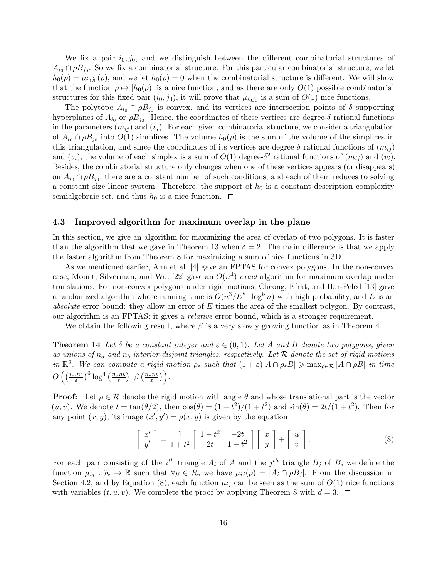We fix a pair  $i_0, j_0$ , and we distinguish between the different combinatorial structures of  $A_{i_0} \cap \rho B_{j_0}$ . So we fix a combinatorial structure. For this particular combinatorial structure, we let  $h_0(\rho) = \mu_{i_0 j_0}(\rho)$ , and we let  $h_0(\rho) = 0$  when the combinatorial structure is different. We will show that the function  $\rho \mapsto |h_0(\rho)|$  is a nice function, and as there are only  $O(1)$  possible combinatorial structures for this fixed pair  $(i_0, j_0)$ , it will prove that  $\mu_{i_0 j_0}$  is a sum of  $O(1)$  nice functions.

The polytope  $A_{i_0} \cap \rho B_{j_0}$  is convex, and its vertices are intersection points of  $\delta$  supporting hyperplanes of  $A_{i_0}$  or  $\rho B_{j_0}$ . Hence, the coordinates of these vertices are degree- $\delta$  rational functions in the parameters  $(m_{ij})$  and  $(v_i)$ . For each given combinatorial structure, we consider a triangulation of  $A_{i_0} \cap \rho B_{j_0}$  into  $O(1)$  simplices. The volume  $h_0(\rho)$  is the sum of the volume of the simplices in this triangulation, and since the coordinates of its vertices are degree- $\delta$  rational functions of  $(m_{ij})$ and  $(v_i)$ , the volume of each simplex is a sum of  $O(1)$  degree- $\delta^2$  rational functions of  $(m_{ij})$  and  $(v_i)$ . Besides, the combinatorial structure only changes when one of these vertices appears (or disappears) on  $A_{i_0} \cap \rho B_{j_0}$ ; there are a constant number of such conditions, and each of them reduces to solving a constant size linear system. Therefore, the support of  $h_0$  is a constant description complexity semialgebraic set, and thus  $h_0$  is a nice function.  $\Box$ 

#### 4.3 Improved algorithm for maximum overlap in the plane

In this section, we give an algorithm for maximizing the area of overlap of two polygons. It is faster than the algorithm that we gave in Theorem 13 when  $\delta = 2$ . The main difference is that we apply the faster algorithm from Theorem 8 for maximizing a sum of nice functions in 3D.

As we mentioned earlier, Ahn et al. [4] gave an FPTAS for convex polygons. In the non-convex case, Mount, Silverman, and Wu. [22] gave an  $O(n^4)$  exact algorithm for maximum overlap under translations. For non-convex polygons under rigid motions, Cheong, Efrat, and Har-Peled [13] gave a randomized algorithm whose running time is  $O(n^3/E^8 \cdot \log^5 n)$  with high probability, and E is an absolute error bound: they allow an error of  $E$  times the area of the smallest polygon. By contrast, our algorithm is an FPTAS: it gives a relative error bound, which is a stronger requirement.

We obtain the following result, where  $\beta$  is a very slowly growing function as in Theorem 4.

**Theorem 14** Let  $\delta$  be a constant integer and  $\varepsilon \in (0,1)$ . Let A and B denote two polygons, given as unions of  $n_a$  and  $n_b$  interior-disjoint triangles, respectively. Let  $R$  denote the set of rigid motions in  $\mathbb{R}^2$ . We can compute a rigid motion  $\rho_{\varepsilon}$  such that  $(1+\varepsilon)|A \cap \rho_{\varepsilon}B| \ge \max_{\rho \in \mathcal{R}} |A \cap \rho B|$  in time  $O\left(\left(\frac{n_an_b}{\varepsilon}\right)^3\log^4\left(\frac{n_an_b}{\varepsilon}\right)\right.\left.\beta\left(\frac{n_an_b}{\varepsilon}\right)\right).$ 

**Proof:** Let  $\rho \in \mathcal{R}$  denote the rigid motion with angle  $\theta$  and whose translational part is the vector  $(u, v)$ . We denote  $t = \tan(\theta/2)$ , then  $\cos(\theta) = (1 - t^2)/(1 + t^2)$  and  $\sin(\theta) = 2t/(1 + t^2)$ . Then for any point  $(x, y)$ , its image  $(x', y') = \rho(x, y)$  is given by the equation

$$
\begin{bmatrix} x' \\ y' \end{bmatrix} = \frac{1}{1+t^2} \begin{bmatrix} 1-t^2 & -2t \\ 2t & 1-t^2 \end{bmatrix} \begin{bmatrix} x \\ y \end{bmatrix} + \begin{bmatrix} u \\ v \end{bmatrix}.
$$
 (8)

For each pair consisting of the  $i^{th}$  triangle  $A_i$  of A and the  $j^{th}$  triangle  $B_j$  of B, we define the function  $\mu_{ij} : \mathcal{R} \to \mathbb{R}$  such that  $\forall \rho \in \mathcal{R}$ , we have  $\mu_{ij}(\rho) = |A_i \cap \rho B_j|$ . From the discussion in Section 4.2, and by Equation (8), each function  $\mu_{ij}$  can be seen as the sum of  $O(1)$  nice functions with variables  $(t, u, v)$ . We complete the proof by applying Theorem 8 with  $d = 3$ .  $\Box$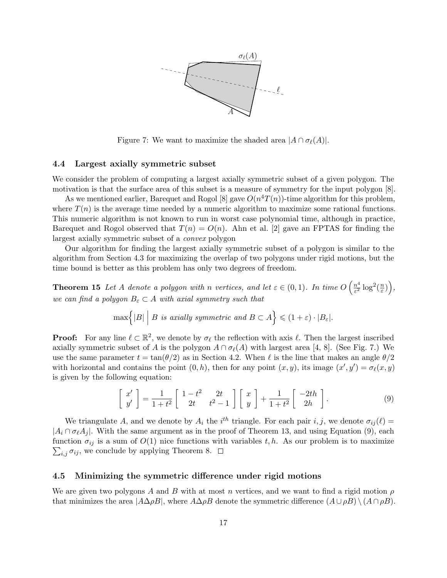

Figure 7: We want to maximize the shaded area  $|A \cap \sigma_{\ell}(A)|$ .

#### 4.4 Largest axially symmetric subset

We consider the problem of computing a largest axially symmetric subset of a given polygon. The motivation is that the surface area of this subset is a measure of symmetry for the input polygon [8].

As we mentioned earlier, Barequet and Rogol [8] gave  $O(n^4T(n))$ -time algorithm for this problem, where  $T(n)$  is the average time needed by a numeric algorithm to maximize some rational functions. This numeric algorithm is not known to run in worst case polynomial time, although in practice, Barequet and Rogol observed that  $T(n) = O(n)$ . Ahn et al. [2] gave an FPTAS for finding the largest axially symmetric subset of a convex polygon

Our algorithm for finding the largest axially symmetric subset of a polygon is similar to the algorithm from Section 4.3 for maximizing the overlap of two polygons under rigid motions, but the time bound is better as this problem has only two degrees of freedom.

**Theorem 15** Let A denote a polygon with n vertices, and let  $\varepsilon \in (0,1)$ . In time  $O\left(\frac{n^4}{\varepsilon^2}\right)$  $\frac{n^4}{\varepsilon^2} \log^2(\frac{n}{\varepsilon})$  $\left(\frac{n}{\varepsilon}\right)\bigg),$ we can find a polygon  $B_{\varepsilon} \subset A$  with axial symmetry such that

$$
\max\Bigl\{|B|\;\Big|\;B\;\;is\;axially\;symmetric\;\;and\;B\subset A\Bigr\}\leqslant (1+\varepsilon)\cdot |B_{\varepsilon}|.
$$

**Proof:** For any line  $\ell \subset \mathbb{R}^2$ , we denote by  $\sigma_{\ell}$  the reflection with axis  $\ell$ . Then the largest inscribed axially symmetric subset of A is the polygon  $A \cap \sigma_{\ell}(A)$  with largest area [4, 8]. (See Fig. 7.) We use the same parameter  $t = \tan(\theta/2)$  as in Section 4.2. When  $\ell$  is the line that makes an angle  $\theta/2$ with horizontal and contains the point  $(0, h)$ , then for any point  $(x, y)$ , its image  $(x', y') = \sigma_{\ell}(x, y)$ is given by the following equation:

$$
\begin{bmatrix} x' \\ y' \end{bmatrix} = \frac{1}{1+t^2} \begin{bmatrix} 1-t^2 & 2t \\ 2t & t^2-1 \end{bmatrix} \begin{bmatrix} x \\ y \end{bmatrix} + \frac{1}{1+t^2} \begin{bmatrix} -2th \\ 2h \end{bmatrix}.
$$
 (9)

We triangulate A, and we denote by  $A_i$  the i<sup>th</sup> triangle. For each pair i, j, we denote  $\sigma_{ij}(\ell)$  =  $|A_i \cap \sigma_{\ell}A_j|$ . With the same argument as in the proof of Theorem 13, and using Equation (9), each function  $\sigma_{ij}$  is a sum of  $O(1)$  nice functions with variables t, h. As our problem is to maximize  $\sum_{i,j} \sigma_{ij}$ , we conclude by applying Theorem 8.

#### 4.5 Minimizing the symmetric difference under rigid motions

We are given two polygons A and B with at most n vertices, and we want to find a rigid motion  $\rho$ that minimizes the area  $|A\Delta\rho B|$ , where  $A\Delta\rho B$  denote the symmetric difference  $(A\cup \rho B) \setminus (A\cap \rho B)$ .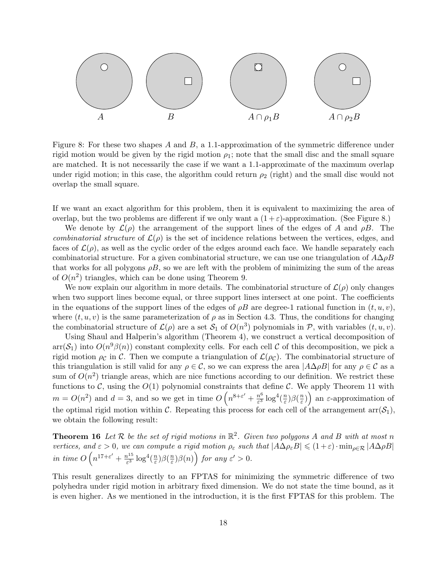

Figure 8: For these two shapes A and B, a 1.1-approximation of the symmetric difference under rigid motion would be given by the rigid motion  $\rho_1$ ; note that the small disc and the small square are matched. It is not necessarily the case if we want a 1.1-approximate of the maximum overlap under rigid motion; in this case, the algorithm could return  $\rho_2$  (right) and the small disc would not overlap the small square.

If we want an exact algorithm for this problem, then it is equivalent to maximizing the area of overlap, but the two problems are different if we only want a  $(1+\varepsilon)$ -approximation. (See Figure 8.)

We denote by  $\mathcal{L}(\rho)$  the arrangement of the support lines of the edges of A and  $\rho B$ . The combinatorial structure of  $\mathcal{L}(\rho)$  is the set of incidence relations between the vertices, edges, and faces of  $\mathcal{L}(\rho)$ , as well as the cyclic order of the edges around each face. We handle separately each combinatorial structure. For a given combinatorial structure, we can use one triangulation of  $A\Delta\rho B$ that works for all polygons  $\rho B$ , so we are left with the problem of minimizing the sum of the areas of  $O(n^2)$  triangles, which can be done using Theorem 9.

We now explain our algorithm in more details. The combinatorial structure of  $\mathcal{L}(\rho)$  only changes when two support lines become equal, or three support lines intersect at one point. The coefficients in the equations of the support lines of the edges of  $\rho B$  are degree-1 rational function in  $(t, u, v)$ , where  $(t, u, v)$  is the same parameterization of  $\rho$  as in Section 4.3. Thus, the conditions for changing the combinatorial structure of  $\mathcal{L}(\rho)$  are a set  $\mathcal{S}_1$  of  $O(n^3)$  polynomials in  $\mathcal{P}$ , with variables  $(t, u, v)$ .

Using Shaul and Halperin's algorithm (Theorem 4), we construct a vertical decomposition of  $\arr(\mathcal{S}_1)$  into  $O(n^9\beta(n))$  constant complexity cells. For each cell C of this decomposition, we pick a rigid motion  $\rho_c$  in C. Then we compute a triangulation of  $\mathcal{L}(\rho_c)$ . The combinatorial structure of this triangulation is still valid for any  $\rho \in \mathcal{C}$ , so we can express the area  $|A\Delta \rho B|$  for any  $\rho \in \mathcal{C}$  as a sum of  $O(n^2)$  triangle areas, which are nice functions according to our definition. We restrict these functions to C, using the  $O(1)$  polynomial constraints that define C. We apply Theorem 11 with  $m = O(n^2)$  and  $d = 3$ , and so we get in time  $O\left(n^{8+\epsilon'} + \frac{n^6}{\epsilon^3}\right)$  $\frac{n^6}{\varepsilon^3} \log^4(\frac{n}{\varepsilon})$  $\frac{n}{\varepsilon})\beta(\frac{n}{\varepsilon})$  $\left(\frac{n}{\varepsilon}\right)\right)$  an  $\varepsilon$ -approximation of the optimal rigid motion within C. Repeating this process for each cell of the arrangement  $\text{arr}(\mathcal{S}_1)$ , we obtain the following result:

**Theorem 16** Let R be the set of rigid motions in  $\mathbb{R}^2$ . Given two polygons A and B with at most n vertices, and  $\varepsilon > 0$ , we can compute a rigid motion  $\rho_{\varepsilon}$  such that  $|\hat{A}\Delta \rho_{\varepsilon}B| \leq (1+\varepsilon) \cdot \min_{\rho \in \mathcal{R}} |A\Delta \rho B|$ in time  $O(n^{17+\varepsilon'}+\frac{n^{15}}{\varepsilon^3})$  $rac{i^{15}}{\varepsilon^3} \log^4(\frac{n}{\varepsilon})$  $\frac{n}{\varepsilon})\beta(\frac{n}{\varepsilon})$  $\left(\frac{n}{\varepsilon}\right)\beta(n)\right)$  for any  $\varepsilon' > 0$ .

This result generalizes directly to an FPTAS for minimizing the symmetric difference of two polyhedra under rigid motion in arbitrary fixed dimension. We do not state the time bound, as it is even higher. As we mentioned in the introduction, it is the first FPTAS for this problem. The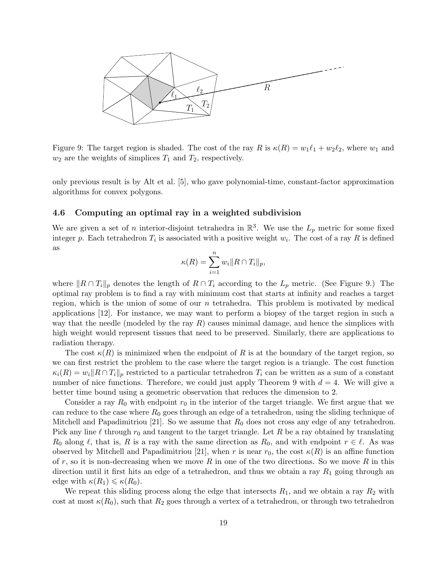

Figure 9: The target region is shaded. The cost of the ray R is  $\kappa(R) = w_1\ell_1 + w_2\ell_2$ , where  $w_1$  and  $w_2$  are the weights of simplices  $T_1$  and  $T_2$ , respectively.

only previous result is by Alt et al. [5], who gave polynomial-time, constant-factor approximation algorithms for convex polygons.

### 4.6 Computing an optimal ray in a weighted subdivision

We are given a set of *n* interior-disjoint tetrahedra in  $\mathbb{R}^3$ . We use the  $L_p$  metric for some fixed integer p. Each tetrahedron  $T_i$  is associated with a positive weight  $w_i$ . The cost of a ray R is defined as

$$
\kappa(R) = \sum_{i=1}^n w_i ||R \cap T_i||_p,
$$

where  $\|R \cap T_i\|_p$  denotes the length of  $R \cap T_i$  according to the  $L_p$  metric. (See Figure 9.) The optimal ray problem is to find a ray with minimum cost that starts at infinity and reaches a target region, which is the union of some of our  $n$  tetrahedra. This problem is motivated by medical applications [12]. For instance, we may want to perform a biopsy of the target region in such a way that the needle (modeled by the ray  $R$ ) causes minimal damage, and hence the simplices with high weight would represent tissues that need to be preserved. Similarly, there are applications to radiation therapy.

The cost  $\kappa(R)$  is minimized when the endpoint of R is at the boundary of the target region, so we can first restrict the problem to the case where the target region is a triangle. The cost function  $\kappa_i(R) = w_i \|R \cap T_i\|_p$  restricted to a particular tetrahedron  $T_i$  can be written as a sum of a constant number of nice functions. Therefore, we could just apply Theorem 9 with  $d = 4$ . We will give a better time bound using a geometric observation that reduces the dimension to 2.

Consider a ray  $R_0$  with endpoint  $r_0$  in the interior of the target triangle. We first argue that we can reduce to the case where  $R_0$  goes through an edge of a tetrahedron, using the sliding technique of Mitchell and Papadimitriou [21]. So we assume that  $R_0$  does not cross any edge of any tetrahedron. Pick any line  $\ell$  through  $r_0$  and tangent to the target triangle. Let R be a ray obtained by translating  $R_0$  along  $\ell$ , that is, R is a ray with the same direction as  $R_0$ , and with endpoint  $r \in \ell$ . As was observed by Mitchell and Papadimitriou [21], when r is near  $r_0$ , the cost  $\kappa(R)$  is an affine function of r, so it is non-decreasing when we move R in one of the two directions. So we move R in this direction until it first hits an edge of a tetrahedron, and thus we obtain a ray  $R_1$  going through an edge with  $\kappa(R_1) \leq \kappa(R_0)$ .

We repeat this sliding process along the edge that intersects  $R_1$ , and we obtain a ray  $R_2$  with cost at most  $\kappa(R_0)$ , such that  $R_2$  goes through a vertex of a tetrahedron, or through two tetrahedron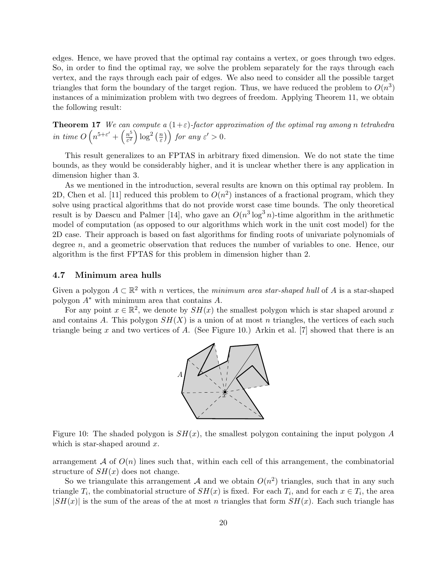edges. Hence, we have proved that the optimal ray contains a vertex, or goes through two edges. So, in order to find the optimal ray, we solve the problem separately for the rays through each vertex, and the rays through each pair of edges. We also need to consider all the possible target triangles that form the boundary of the target region. Thus, we have reduced the problem to  $O(n^3)$ instances of a minimization problem with two degrees of freedom. Applying Theorem 11, we obtain the following result:

**Theorem 17** We can compute a  $(1+\varepsilon)$ -factor approximation of the optimal ray among n tetrahedra in time  $O\left(n^{5+\varepsilon'}+\left(\frac{n^5}{\varepsilon^2}\right)\right)$  $\frac{n^5}{\varepsilon^2}\Big)\log^2\big(\frac{n}{\varepsilon}\big)$  $\left(\frac{m}{\varepsilon}\right)\right)$  for any  $\varepsilon' > 0$ .

This result generalizes to an FPTAS in arbitrary fixed dimension. We do not state the time bounds, as they would be considerably higher, and it is unclear whether there is any application in dimension higher than 3.

As we mentioned in the introduction, several results are known on this optimal ray problem. In 2D, Chen et al. [11] reduced this problem to  $O(n^2)$  instances of a fractional program, which they solve using practical algorithms that do not provide worst case time bounds. The only theoretical result is by Daescu and Palmer [14], who gave an  $O(n^3 \log^3 n)$ -time algorithm in the arithmetic model of computation (as opposed to our algorithms which work in the unit cost model) for the 2D case. Their approach is based on fast algorithms for finding roots of univariate polynomials of degree n, and a geometric observation that reduces the number of variables to one. Hence, our algorithm is the first FPTAS for this problem in dimension higher than 2.

#### 4.7 Minimum area hulls

Given a polygon  $A \subset \mathbb{R}^2$  with n vertices, the minimum area star-shaped hull of A is a star-shaped polygon A<sup>∗</sup> with minimum area that contains A.

For any point  $x \in \mathbb{R}^2$ , we denote by  $SH(x)$  the smallest polygon which is star shaped around x and contains A. This polygon  $SH(X)$  is a union of at most n triangles, the vertices of each such triangle being x and two vertices of A. (See Figure 10.) Arkin et al. [7] showed that there is an



Figure 10: The shaded polygon is  $SH(x)$ , the smallest polygon containing the input polygon A which is star-shaped around  $x$ .

arrangement A of  $O(n)$  lines such that, within each cell of this arrangement, the combinatorial structure of  $SH(x)$  does not change.

So we triangulate this arrangement A and we obtain  $O(n^2)$  triangles, such that in any such triangle  $T_i$ , the combinatorial structure of  $SH(x)$  is fixed. For each  $T_i$ , and for each  $x \in T_i$ , the area  $|SH(x)|$  is the sum of the areas of the at most n triangles that form  $SH(x)$ . Each such triangle has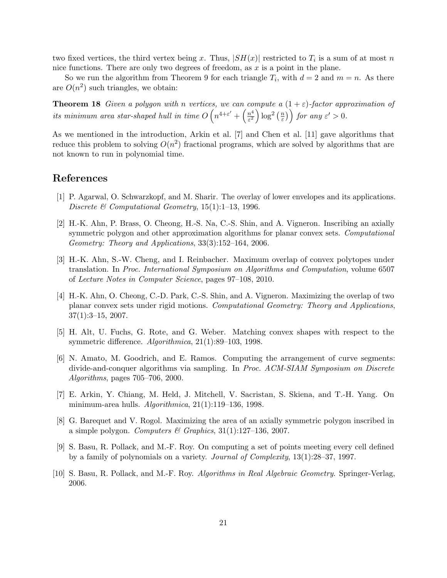two fixed vertices, the third vertex being x. Thus,  $|SH(x)|$  restricted to  $T_i$  is a sum of at most n nice functions. There are only two degrees of freedom, as  $x$  is a point in the plane.

So we run the algorithm from Theorem 9 for each triangle  $T_i$ , with  $d = 2$  and  $m = n$ . As there are  $O(n^2)$  such triangles, we obtain:

**Theorem 18** Given a polygon with n vertices, we can compute a  $(1+\varepsilon)$ -factor approximation of its minimum area star-shaped hull in time  $O\left(n^{4+\varepsilon'} + \left(\frac{n^4}{\varepsilon^2}\right)\right)$  $\frac{n^4}{\varepsilon^2}\Big)\log^2\big(\frac{n}{\varepsilon}\big)$  $\left(\frac{m}{\varepsilon}\right)$  for any  $\varepsilon' > 0$ .

As we mentioned in the introduction, Arkin et al. [7] and Chen et al. [11] gave algorithms that reduce this problem to solving  $O(n^2)$  fractional programs, which are solved by algorithms that are not known to run in polynomial time.

# References

- [1] P. Agarwal, O. Schwarzkopf, and M. Sharir. The overlay of lower envelopes and its applications. Discrete & Computational Geometry, 15(1):1–13, 1996.
- [2] H.-K. Ahn, P. Brass, O. Cheong, H.-S. Na, C.-S. Shin, and A. Vigneron. Inscribing an axially symmetric polygon and other approximation algorithms for planar convex sets. Computational Geometry: Theory and Applications, 33(3):152–164, 2006.
- [3] H.-K. Ahn, S.-W. Cheng, and I. Reinbacher. Maximum overlap of convex polytopes under translation. In Proc. International Symposium on Algorithms and Computation, volume 6507 of Lecture Notes in Computer Science, pages 97–108, 2010.
- [4] H.-K. Ahn, O. Cheong, C.-D. Park, C.-S. Shin, and A. Vigneron. Maximizing the overlap of two planar convex sets under rigid motions. Computational Geometry: Theory and Applications,  $37(1):3-15$ , 2007.
- [5] H. Alt, U. Fuchs, G. Rote, and G. Weber. Matching convex shapes with respect to the symmetric difference. Algorithmica, 21(1):89–103, 1998.
- [6] N. Amato, M. Goodrich, and E. Ramos. Computing the arrangement of curve segments: divide-and-conquer algorithms via sampling. In Proc. ACM-SIAM Symposium on Discrete Algorithms, pages 705–706, 2000.
- [7] E. Arkin, Y. Chiang, M. Held, J. Mitchell, V. Sacristan, S. Skiena, and T.-H. Yang. On minimum-area hulls. Algorithmica, 21(1):119–136, 1998.
- [8] G. Barequet and V. Rogol. Maximizing the area of an axially symmetric polygon inscribed in a simple polygon. Computers & Graphics,  $31(1):127-136$ ,  $2007$ .
- [9] S. Basu, R. Pollack, and M.-F. Roy. On computing a set of points meeting every cell defined by a family of polynomials on a variety. Journal of Complexity, 13(1):28–37, 1997.
- [10] S. Basu, R. Pollack, and M.-F. Roy. Algorithms in Real Algebraic Geometry. Springer-Verlag, 2006.